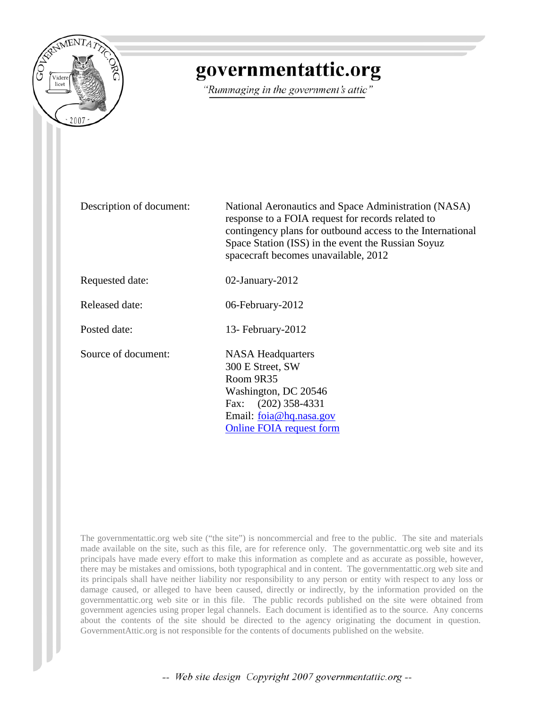

## governmentattic.org

"Rummaging in the government's attic"

Description of document: National Aeronautics and Space Administration (NASA) response to a FOIA request for records related to contingency plans for outbound access to the International Space Station (ISS) in the event the Russian Soyuz spacecraft becomes unavailable, 2012 Requested date: 02-January-2012 Released date: 06-February-2012 Posted date: 13- February-2012 Source of document: NASA Headquarters 300 E Street, SW Room 9R35 Washington, DC 20546 Fax: (202) 358-4331 Email: [foia@hq.nasa.gov](mailto:foia@hq.nasa.gov) [Online FOIA request form](http://www.hq.nasa.gov/pao/FOIA/request.html)

The governmentattic.org web site ("the site") is noncommercial and free to the public. The site and materials made available on the site, such as this file, are for reference only. The governmentattic.org web site and its principals have made every effort to make this information as complete and as accurate as possible, however, there may be mistakes and omissions, both typographical and in content. The governmentattic.org web site and its principals shall have neither liability nor responsibility to any person or entity with respect to any loss or damage caused, or alleged to have been caused, directly or indirectly, by the information provided on the governmentattic.org web site or in this file. The public records published on the site were obtained from government agencies using proper legal channels. Each document is identified as to the source. Any concerns about the contents of the site should be directed to the agency originating the document in question. GovernmentAttic.org is not responsible for the contents of documents published on the website.

-- Web site design Copyright 2007 governmentattic.org --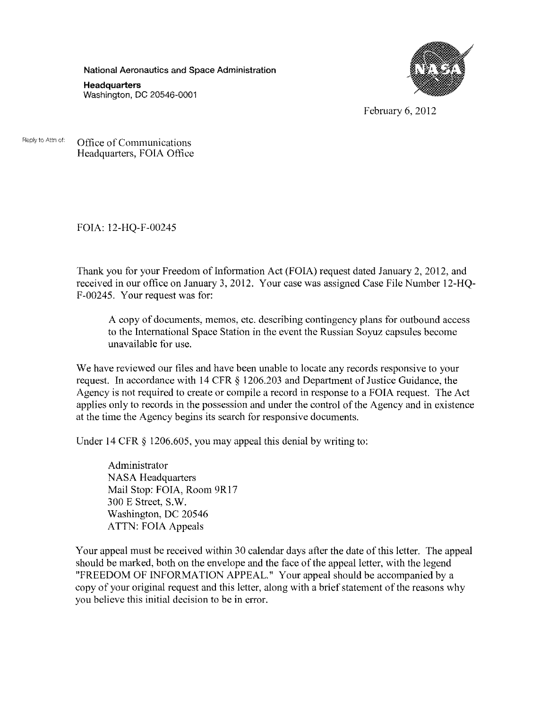National Aeronautics and Space Administration

**Headquarters**  Washington, DC 20546-0001



February 6, 2012

Reply to Attn of: Office of Communications Headquarters, FOIA Office

FOIA: 12-HQ-F-00245

Thank you for your Freedom of Information Act (FOIA) request dated January 2, 2012, and received in our office on January 3, 2012. Your case was assigned Case File Number 12-HQ-F -00245. Your request was for:

A copy of documents, memos, etc. describing contingency plans for outbound access to the International Space Station in the event the Russian Soyuz capsules become unavailable for use.

We have reviewed our files and have been unable to locate any records responsive to your request. In accordance with 14 CFR § 1206.203 and Department of Justice Guidance, the Agency is not required to create or compile a record in response to a FOIA request. The Act applies only to records in the possession and under the control of the Agency and in existence at the time the Agency begins its search for responsive documents.

Under 14 CFR  $\S$  1206.605, you may appeal this denial by writing to:

Administrator NASA Headquarters Mail Stop: FOIA, Room 9Rl7 300 E Street, S.W. Washington, DC 20546 ATTN: FOIA Appeals

Your appeal must be received within 30 calendar days after the date of this letter. The appeal should be marked, both on the envelope and the face of the appeal letter, with the legend "FREEDOM OF INFORMATION APPEAL." Your appeal should be accompanied by a copy of your original request and this letter, along with a brief statement of the reasons why you believe this initial decision to be in error.